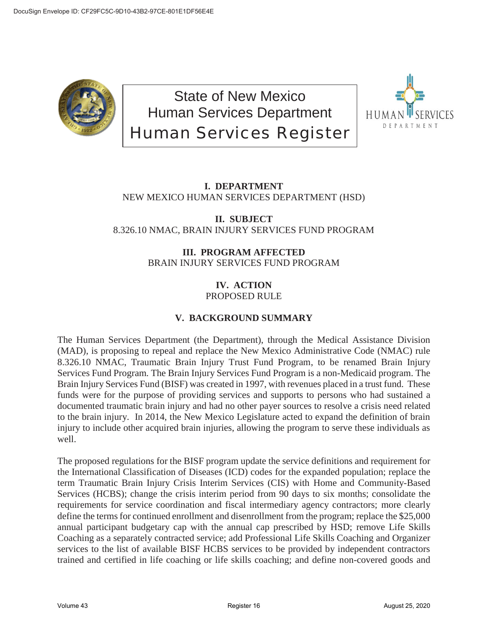

State of New Mexico Human Services Department Human Services Register



# **I. DEPARTMENT** NEW MEXICO HUMAN SERVICES DEPARTMENT (HSD)

# **II. SUBJECT** 8.326.10 NMAC, BRAIN INJURY SERVICES FUND PROGRAM

# **III. PROGRAM AFFECTED** BRAIN INJURY SERVICES FUND PROGRAM

## **IV. ACTION** PROPOSED RULE

# **V. BACKGROUND SUMMARY**

The Human Services Department (the Department), through the Medical Assistance Division (MAD), is proposing to repeal and replace the New Mexico Administrative Code (NMAC) rule 8.326.10 NMAC, Traumatic Brain Injury Trust Fund Program, to be renamed Brain Injury Services Fund Program*.* The Brain Injury Services Fund Program is a non-Medicaid program. The Brain Injury Services Fund (BISF) was created in 1997, with revenues placed in a trust fund. These funds were for the purpose of providing services and supports to persons who had sustained a documented traumatic brain injury and had no other payer sources to resolve a crisis need related to the brain injury. In 2014, the New Mexico Legislature acted to expand the definition of brain injury to include other acquired brain injuries, allowing the program to serve these individuals as well.

The proposed regulations for the BISF program update the service definitions and requirement for the International Classification of Diseases (ICD) codes for the expanded population; replace the term Traumatic Brain Injury Crisis Interim Services (CIS) with Home and Community-Based Services (HCBS); change the crisis interim period from 90 days to six months; consolidate the requirements for service coordination and fiscal intermediary agency contractors; more clearly define the terms for continued enrollment and disenrollment from the program; replace the \$25,000 annual participant budgetary cap with the annual cap prescribed by HSD; remove Life Skills Coaching as a separately contracted service; add Professional Life Skills Coaching and Organizer services to the list of available BISF HCBS services to be provided by independent contractors trained and certified in life coaching or life skills coaching; and define non-covered goods and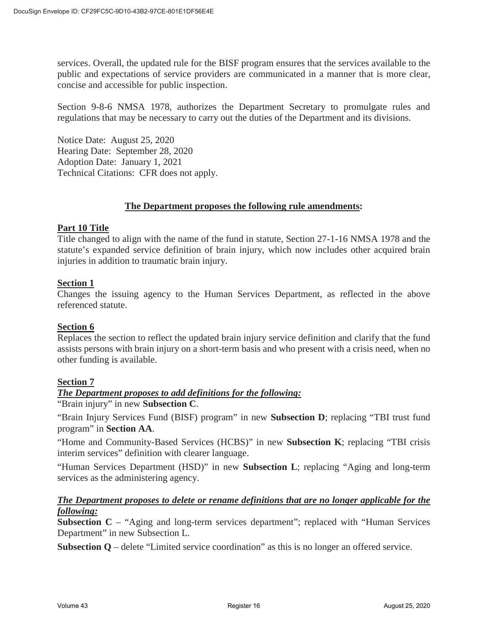services. Overall, the updated rule for the BISF program ensures that the services available to the public and expectations of service providers are communicated in a manner that is more clear, concise and accessible for public inspection.

Section 9-8-6 NMSA 1978, authorizes the Department Secretary to promulgate rules and regulations that may be necessary to carry out the duties of the Department and its divisions.

Notice Date: August 25, 2020 Hearing Date: September 28, 2020 Adoption Date: January 1, 2021 Technical Citations: CFR does not apply.

## **The Department proposes the following rule amendments:**

## **Part 10 Title**

Title changed to align with the name of the fund in statute, Section 27-1-16 NMSA 1978 and the statute's expanded service definition of brain injury, which now includes other acquired brain injuries in addition to traumatic brain injury.

## **Section 1**

Changes the issuing agency to the Human Services Department, as reflected in the above referenced statute.

## **Section 6**

Replaces the section to reflect the updated brain injury service definition and clarify that the fund assists persons with brain injury on a short-term basis and who present with a crisis need, when no other funding is available.

## **Section 7**

## *The Department proposes to add definitions for the following:*

"Brain injury" in new **Subsection C**.

"Brain Injury Services Fund (BISF) program" in new **Subsection D**; replacing "TBI trust fund program" in **Section AA**.

"Home and Community-Based Services (HCBS)" in new **Subsection K**; replacing "TBI crisis interim services" definition with clearer language.

"Human Services Department (HSD)" in new **Subsection L**; replacing "Aging and long-term services as the administering agency.

## *The Department proposes to delete or rename definitions that are no longer applicable for the following:*

**Subsection C** – "Aging and long-term services department"; replaced with "Human Services Department" in new Subsection L.

**Subsection Q** – delete "Limited service coordination" as this is no longer an offered service.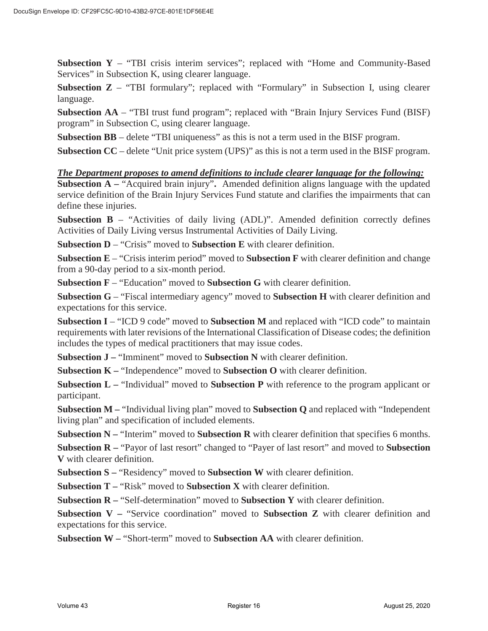**Subsection Y** – "TBI crisis interim services"; replaced with "Home and Community-Based Services" in Subsection K, using clearer language.

**Subsection Z** – "TBI formulary"; replaced with "Formulary" in Subsection I, using clearer language.

**Subsection AA** – "TBI trust fund program"; replaced with "Brain Injury Services Fund (BISF) program" in Subsection C, using clearer language.

**Subsection BB** – delete "TBI uniqueness" as this is not a term used in the BISF program.

**Subsection CC** – delete "Unit price system (UPS)" as this is not a term used in the BISF program.

#### *The Department proposes to amend definitions to include clearer language for the following:*

**Subsection A –** "Acquired brain injury"**.** Amended definition aligns language with the updated service definition of the Brain Injury Services Fund statute and clarifies the impairments that can define these injuries.

**Subsection B** – "Activities of daily living (ADL)". Amended definition correctly defines Activities of Daily Living versus Instrumental Activities of Daily Living.

**Subsection D** – "Crisis" moved to **Subsection E** with clearer definition.

**Subsection E** – "Crisis interim period" moved to **Subsection F** with clearer definition and change from a 90-day period to a six-month period.

**Subsection F** – "Education" moved to **Subsection G** with clearer definition.

**Subsection G** – "Fiscal intermediary agency" moved to **Subsection H** with clearer definition and expectations for this service.

**Subsection I** – "ICD 9 code" moved to **Subsection M** and replaced with "ICD code" to maintain requirements with later revisions of the International Classification of Disease codes; the definition includes the types of medical practitioners that may issue codes.

**Subsection J –** "Imminent" moved to **Subsection N** with clearer definition.

**Subsection K –** "Independence" moved to **Subsection O** with clearer definition.

**Subsection L –** "Individual" moved to **Subsection P** with reference to the program applicant or participant.

**Subsection M –** "Individual living plan" moved to **Subsection Q** and replaced with "Independent living plan" and specification of included elements.

**Subsection N –** "Interim" moved to **Subsection R** with clearer definition that specifies 6 months.

**Subsection R –** "Payor of last resort" changed to "Payer of last resort" and moved to **Subsection V** with clearer definition.

**Subsection S –** "Residency" moved to **Subsection W** with clearer definition.

**Subsection T –** "Risk" moved to **Subsection X** with clearer definition.

**Subsection R –** "Self-determination" moved to **Subsection Y** with clearer definition.

**Subsection V –** "Service coordination" moved to **Subsection Z** with clearer definition and expectations for this service.

**Subsection W –** "Short-term" moved to **Subsection AA** with clearer definition.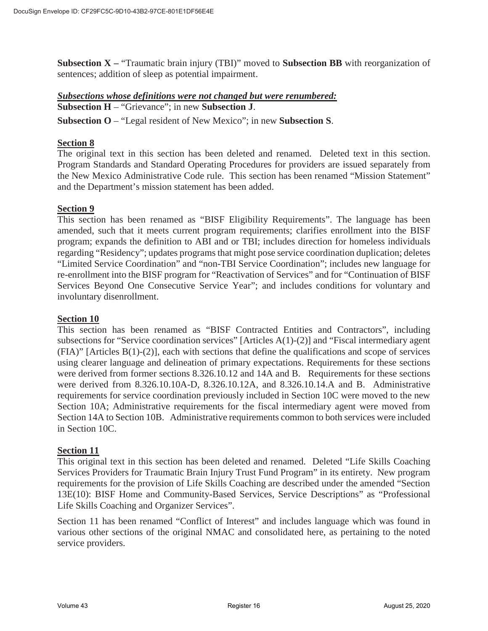**Subsection X –** "Traumatic brain injury (TBI)" moved to **Subsection BB** with reorganization of sentences; addition of sleep as potential impairment.

## *Subsections whose definitions were not changed but were renumbered:*  **Subsection H** – "Grievance"; in new **Subsection J**.

**Subsection O** – "Legal resident of New Mexico"; in new **Subsection S**.

## **Section 8**

The original text in this section has been deleted and renamed. Deleted text in this section. Program Standards and Standard Operating Procedures for providers are issued separately from the New Mexico Administrative Code rule. This section has been renamed "Mission Statement" and the Department's mission statement has been added.

## **Section 9**

This section has been renamed as "BISF Eligibility Requirements". The language has been amended, such that it meets current program requirements; clarifies enrollment into the BISF program; expands the definition to ABI and or TBI; includes direction for homeless individuals regarding "Residency"; updates programs that might pose service coordination duplication; deletes "Limited Service Coordination" and "non-TBI Service Coordination"; includes new language for re-enrollment into the BISF program for "Reactivation of Services" and for "Continuation of BISF Services Beyond One Consecutive Service Year"; and includes conditions for voluntary and involuntary disenrollment.

## **Section 10**

This section has been renamed as "BISF Contracted Entities and Contractors", including subsections for "Service coordination services" [Articles A(1)-(2)] and "Fiscal intermediary agent (FIA)" [Articles B(1)-(2)], each with sections that define the qualifications and scope of services using clearer language and delineation of primary expectations. Requirements for these sections were derived from former sections 8.326.10.12 and 14A and B. Requirements for these sections were derived from 8.326.10.10A-D, 8.326.10.12A, and 8.326.10.14.A and B. Administrative requirements for service coordination previously included in Section 10C were moved to the new Section 10A; Administrative requirements for the fiscal intermediary agent were moved from Section 14A to Section 10B. Administrative requirements common to both services were included in Section 10C.

## **Section 11**

This original text in this section has been deleted and renamed. Deleted "Life Skills Coaching Services Providers for Traumatic Brain Injury Trust Fund Program" in its entirety. New program requirements for the provision of Life Skills Coaching are described under the amended "Section 13E(10): BISF Home and Community-Based Services, Service Descriptions" as "Professional Life Skills Coaching and Organizer Services".

Section 11 has been renamed "Conflict of Interest" and includes language which was found in various other sections of the original NMAC and consolidated here, as pertaining to the noted service providers.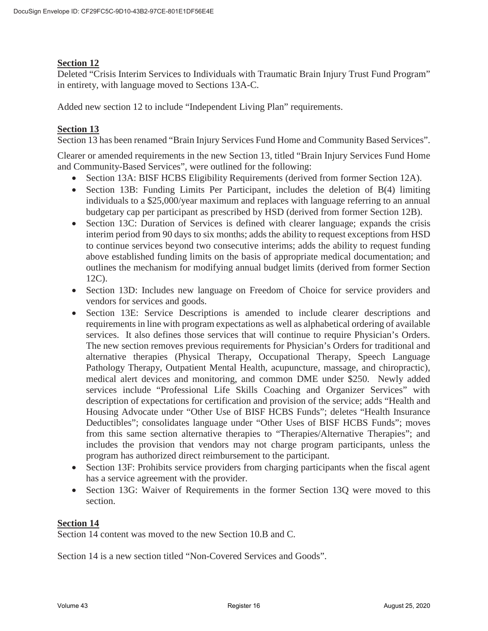## **Section 12**

Deleted "Crisis Interim Services to Individuals with Traumatic Brain Injury Trust Fund Program" in entirety, with language moved to Sections 13A-C.

Added new section 12 to include "Independent Living Plan" requirements.

## **Section 13**

Section 13 has been renamed "Brain Injury Services Fund Home and Community Based Services".

Clearer or amended requirements in the new Section 13, titled "Brain Injury Services Fund Home and Community-Based Services", were outlined for the following:

- Section 13A: BISF HCBS Eligibility Requirements (derived from former Section 12A).
- Section 13B: Funding Limits Per Participant, includes the deletion of  $B(4)$  limiting individuals to a \$25,000/year maximum and replaces with language referring to an annual budgetary cap per participant as prescribed by HSD (derived from former Section 12B).
- Section 13C: Duration of Services is defined with clearer language; expands the crisis interim period from 90 days to six months; adds the ability to request exceptions from HSD to continue services beyond two consecutive interims; adds the ability to request funding above established funding limits on the basis of appropriate medical documentation; and outlines the mechanism for modifying annual budget limits (derived from former Section 12C).
- Section 13D: Includes new language on Freedom of Choice for service providers and vendors for services and goods.
- Section 13E: Service Descriptions is amended to include clearer descriptions and requirements in line with program expectations as well as alphabetical ordering of available services. It also defines those services that will continue to require Physician's Orders. The new section removes previous requirements for Physician's Orders for traditional and alternative therapies (Physical Therapy, Occupational Therapy, Speech Language Pathology Therapy, Outpatient Mental Health, acupuncture, massage, and chiropractic), medical alert devices and monitoring, and common DME under \$250. Newly added services include "Professional Life Skills Coaching and Organizer Services" with description of expectations for certification and provision of the service; adds "Health and Housing Advocate under "Other Use of BISF HCBS Funds"; deletes "Health Insurance Deductibles"; consolidates language under "Other Uses of BISF HCBS Funds"; moves from this same section alternative therapies to "Therapies/Alternative Therapies"; and includes the provision that vendors may not charge program participants, unless the program has authorized direct reimbursement to the participant.
- Section 13F: Prohibits service providers from charging participants when the fiscal agent has a service agreement with the provider.
- Section 13G: Waiver of Requirements in the former Section 13Q were moved to this section.

## **Section 14**

Section 14 content was moved to the new Section 10.B and C.

Section 14 is a new section titled "Non-Covered Services and Goods".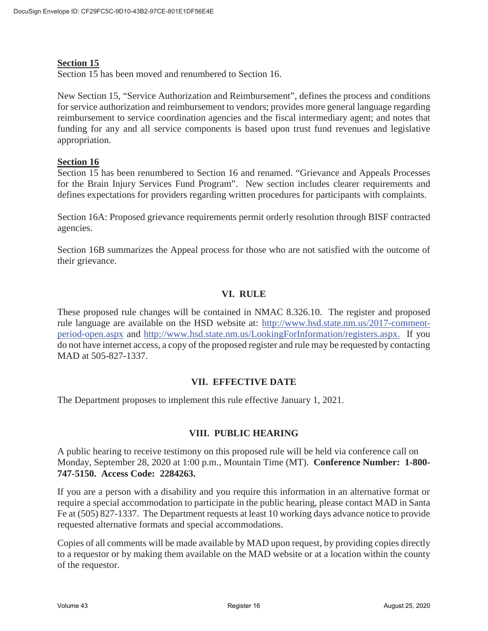## **Section 15**

Section 15 has been moved and renumbered to Section 16.

New Section 15, "Service Authorization and Reimbursement", defines the process and conditions for service authorization and reimbursement to vendors; provides more general language regarding reimbursement to service coordination agencies and the fiscal intermediary agent; and notes that funding for any and all service components is based upon trust fund revenues and legislative appropriation.

## **Section 16**

Section 15 has been renumbered to Section 16 and renamed. "Grievance and Appeals Processes for the Brain Injury Services Fund Program". New section includes clearer requirements and defines expectations for providers regarding written procedures for participants with complaints.

Section 16A: Proposed grievance requirements permit orderly resolution through BISF contracted agencies.

Section 16B summarizes the Appeal process for those who are not satisfied with the outcome of their grievance.

## **VI. RULE**

These proposed rule changes will be contained in NMAC 8.326.10. The register and proposed rule language are available on the HSD website at: http://www.hsd.state.nm.us/2017-commentperiod-open.aspx and http://www.hsd.state.nm.us/LookingForInformation/registers.aspx. If you do not have internet access, a copy of the proposed register and rule may be requested by contacting MAD at 505-827-1337.

## **VII. EFFECTIVE DATE**

The Department proposes to implement this rule effective January 1, 2021.

## **VIII. PUBLIC HEARING**

A public hearing to receive testimony on this proposed rule will be held via conference call on Monday, September 28, 2020 at 1:00 p.m., Mountain Time (MT). **Conference Number: 1-800- 747-5150. Access Code: 2284263.** 

If you are a person with a disability and you require this information in an alternative format or require a special accommodation to participate in the public hearing, please contact MAD in Santa Fe at (505) 827-1337. The Department requests at least 10 working days advance notice to provide requested alternative formats and special accommodations.

Copies of all comments will be made available by MAD upon request, by providing copies directly to a requestor or by making them available on the MAD website or at a location within the county of the requestor.